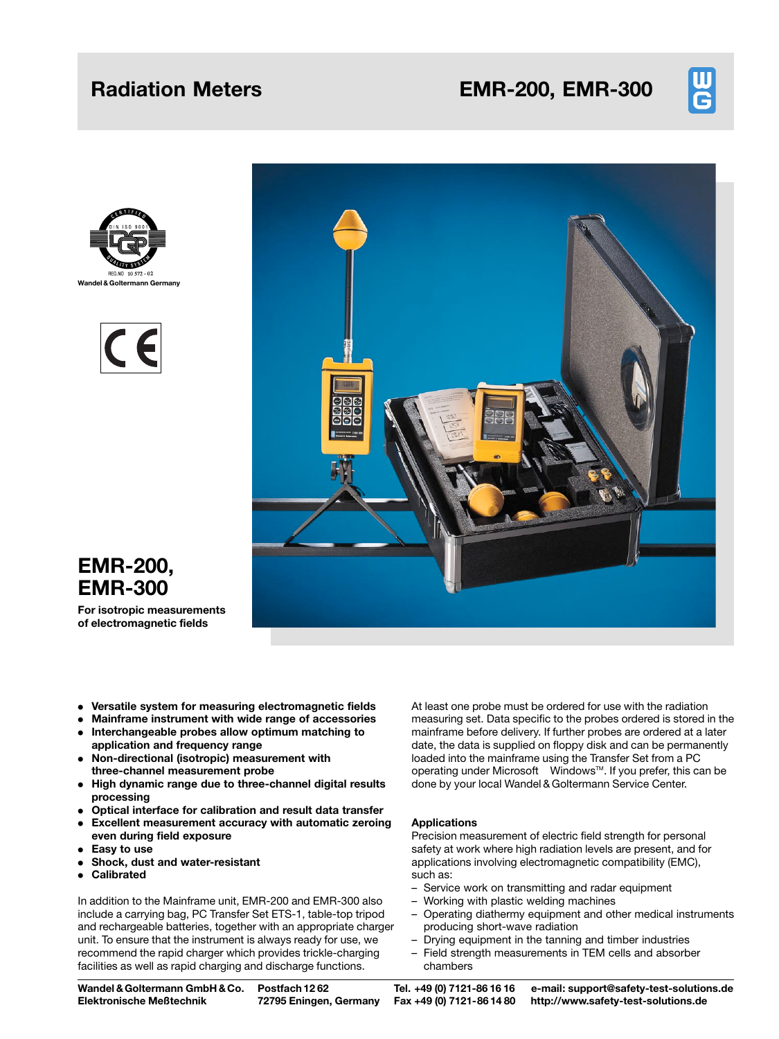# Radiation Meters **EMR-200, EMR-300**









# EMR-200, EMR-300

For isotropic measurements of electromagnetic fields

- . Versatile system for measuring electromagnetic fields
- . Mainframe instrument with wide range of accessories . Interchangeable probes allow optimum matching to
- application and frequency range
- . Non-directional (isotropic) measurement with three-channel measurement probe
- . High dynamic range due to three-channel digital results processing
- . Optical interface for calibration and result data transfer
- . Excellent measurement accuracy with automatic zeroing even during field exposure
- . Easy to use
- . Shock, dust and water-resistant
- . Calibrated

In addition to the Mainframe unit, EMR-200 and EMR-300 also include a carrying bag, PC Transfer Set ETS-1, table-top tripod and rechargeable batteries, together with an appropriate charger unit. To ensure that the instrument is always ready for use, we recommend the rapid charger which provides trickle-charging facilities as well as rapid charging and discharge functions.

At least one probe must be ordered for use with the radiation measuring set. Data specific to the probes ordered is stored in the mainframe before delivery. If further probes are ordered at a later date, the data is supplied on floppy disk and can be permanently loaded into the mainframe using the Transfer Set from a PC operating under Microsoft $^{\circledR}$  Windows<sup>TM</sup>. If you prefer, this can be done by your local Wandel & Goltermann Service Center.

# Applications

Precision measurement of electric field strength for personal safety at work where high radiation levels are present, and for applications involving electromagnetic compatibility (EMC), such as:

- Service work on transmitting and radar equipment
- Working with plastic welding machines
- Operating diathermy equipment and other medical instruments producing short-wave radiation
- Drying equipment in the tanning and timber industries - Field strength measurements in TEM cells and absorber chambers

Wandel &Goltermann GmbH & Co. Elektronische Meûtechnik

Postfach 12 62 72795 Eningen, Germany

Tel. +49 (0) 7121-86 16 16 Fax +49 (0) 7121-86 14 80

e-mail: support@safety-test-solutions.de http://www.safety-test-solutions.de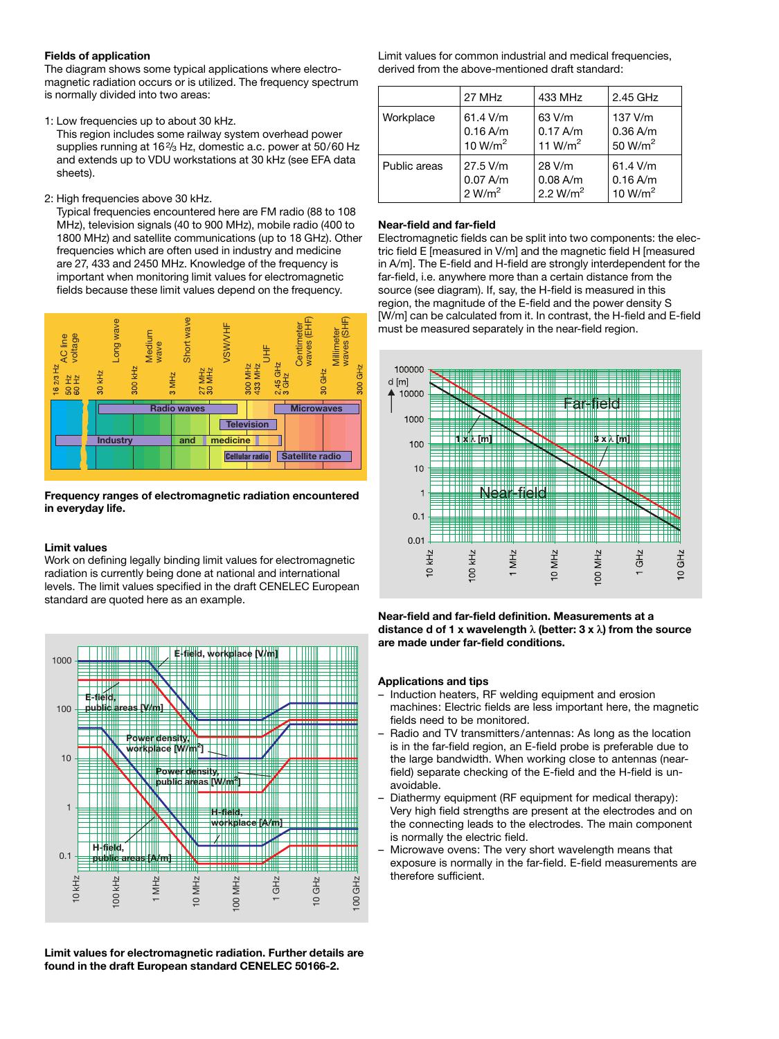# Fields of application

The diagram shows some typical applications where electromagnetic radiation occurs or is utilized. The frequency spectrum is normally divided into two areas:

1: Low frequencies up to about 30 kHz.

This region includes some railway system overhead power supplies running at 16<sup>2</sup>/<sub>3</sub> Hz, domestic a.c. power at 50/60 Hz and extends up to VDU workstations at 30 kHz (see EFA data sheets).

2: High frequencies above 30 kHz.

Typical frequencies encountered here are FM radio (88 to 108 MHz), television signals (40 to 900 MHz), mobile radio (400 to 1800 MHz) and satellite communications (up to 18 GHz). Other frequencies which are often used in industry and medicine are 27, 433 and 2450 MHz. Knowledge of the frequency is important when monitoring limit values for electromagnetic fields because these limit values depend on the frequency.



# Frequency ranges of electromagnetic radiation encountered in everyday life.

# Limit values

Work on defining legally binding limit values for electromagnetic radiation is currently being done at national and international levels. The limit values specified in the draft CENELEC European standard are quoted here as an example.



Limit values for electromagnetic radiation. Further details are found in the draft European standard CENELEC 50166-2.

Limit values for common industrial and medical frequencies, derived from the above-mentioned draft standard:

|              | 27 MHz              | 433 MHz     | 2.45 GHz            |
|--------------|---------------------|-------------|---------------------|
| Workplace    | $61.4$ V/m          | 63 V/m      | 137 V/m             |
|              | 0.16 A/m            | 0.17 A/m    | $0.36$ A/m          |
|              | 10 W/m <sup>2</sup> | 11 $W/m2$   | 50 W/m <sup>2</sup> |
| Public areas | 27.5 V/m            | 28 V/m      | $61.4$ V/m          |
|              | $0.07$ A/m          | $0.08$ A/m  | $0.16$ A/m          |
|              | 2 W/m <sup>2</sup>  | 2.2 $W/m^2$ | 10 W/m <sup>2</sup> |

# Near-field and far-field

Electromagnetic fields can be split into two components: the electric field E [measured in V/m] and the magnetic field H [measured in A/m]. The E-field and H-field are strongly interdependent for the far-field, i.e. anywhere more than a certain distance from the source (see diagram). If, say, the H-field is measured in this region, the magnitude of the E-field and the power density S [W/m] can be calculated from it. In contrast, the H-field and E-field must be measured separately in the near-field region.



Near-field and far-field definition. Measurements at a distance d of 1 x wavelength  $\lambda$  (better: 3 x  $\lambda$ ) from the source are made under far-field conditions.

# Applications and tips

- ± Induction heaters, RF welding equipment and erosion machines: Electric fields are less important here, the magnetic fields need to be monitored.
- Radio and TV transmitters/antennas: As long as the location is in the far-field region, an E-field probe is preferable due to the large bandwidth. When working close to antennas (nearfield) separate checking of the E-field and the H-field is unavoidable.
- ± Diathermy equipment (RF equipment for medical therapy): Very high field strengths are present at the electrodes and on the connecting leads to the electrodes. The main component is normally the electric field.
- Microwave ovens: The very short wavelength means that exposure is normally in the far-field. E-field measurements are therefore sufficient.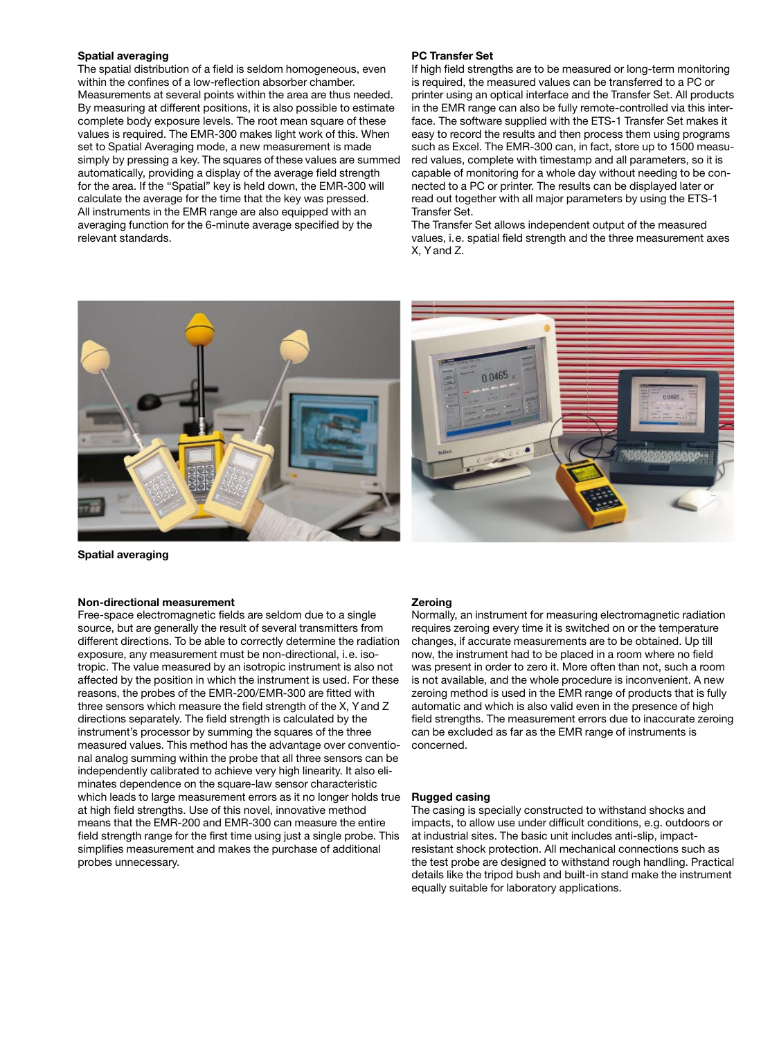### Spatial averaging

The spatial distribution of a field is seldom homogeneous, even within the confines of a low-reflection absorber chamber. Measurements at several points within the area are thus needed. By measuring at different positions, it is also possible to estimate complete body exposure levels. The root mean square of these values is required. The EMR-300 makes light work of this. When set to Spatial Averaging mode, a new measurement is made simply by pressing a key. The squares of these values are summed automatically, providing a display of the average field strength for the area. If the "Spatial" key is held down, the EMR-300 will calculate the average for the time that the key was pressed. All instruments in the EMR range are also equipped with an averaging function for the 6-minute average specified by the relevant standards.

### PC Transfer Set

If high field strengths are to be measured or long-term monitoring is required, the measured values can be transferred to a PC or printer using an optical interface and the Transfer Set. All products in the EMR range can also be fully remote-controlled via this interface. The software supplied with the ETS-1 Transfer Set makes it easy to record the results and then process them using programs such as Excel. The EMR-300 can, in fact, store up to 1500 measured values, complete with timestamp and all parameters, so it is capable of monitoring for a whole day without needing to be connected to a PC or printer. The results can be displayed later or read out together with all major parameters by using the ETS-1 Transfer Set.

The Transfer Set allows independent output of the measured values, i.e. spatial field strength and the three measurement axes X, Y and Z.

0.0465





### Non-directional measurement

Free-space electromagnetic fields are seldom due to a single source, but are generally the result of several transmitters from different directions. To be able to correctly determine the radiation exposure, any measurement must be non-directional, i.e. isotropic. The value measured by an isotropic instrument is also not affected by the position in which the instrument is used. For these reasons, the probes of the EMR-200/EMR-300 are fitted with three sensors which measure the field strength of the X, Y and Z directions separately. The field strength is calculated by the instrument's processor by summing the squares of the three measured values. This method has the advantage over conventional analog summing within the probe that all three sensors can be independently calibrated to achieve very high linearity. It also eliminates dependence on the square-law sensor characteristic which leads to large measurement errors as it no longer holds true at high field strengths. Use of this novel, innovative method means that the EMR-200 and EMR-300 can measure the entire field strength range for the first time using just a single probe. This simplifies measurement and makes the purchase of additional probes unnecessary.

#### **Zeroing**

Normally, an instrument for measuring electromagnetic radiation requires zeroing every time it is switched on or the temperature changes, if accurate measurements are to be obtained. Up till now, the instrument had to be placed in a room where no field was present in order to zero it. More often than not, such a room is not available, and the whole procedure is inconvenient. A new zeroing method is used in the EMR range of products that is fully automatic and which is also valid even in the presence of high field strengths. The measurement errors due to inaccurate zeroing can be excluded as far as the EMR range of instruments is concerned.

### Rugged casing

The casing is specially constructed to withstand shocks and impacts, to allow use under difficult conditions, e.g. outdoors or at industrial sites. The basic unit includes anti-slip, impactresistant shock protection. All mechanical connections such as the test probe are designed to withstand rough handling. Practical details like the tripod bush and built-in stand make the instrument equally suitable for laboratory applications.